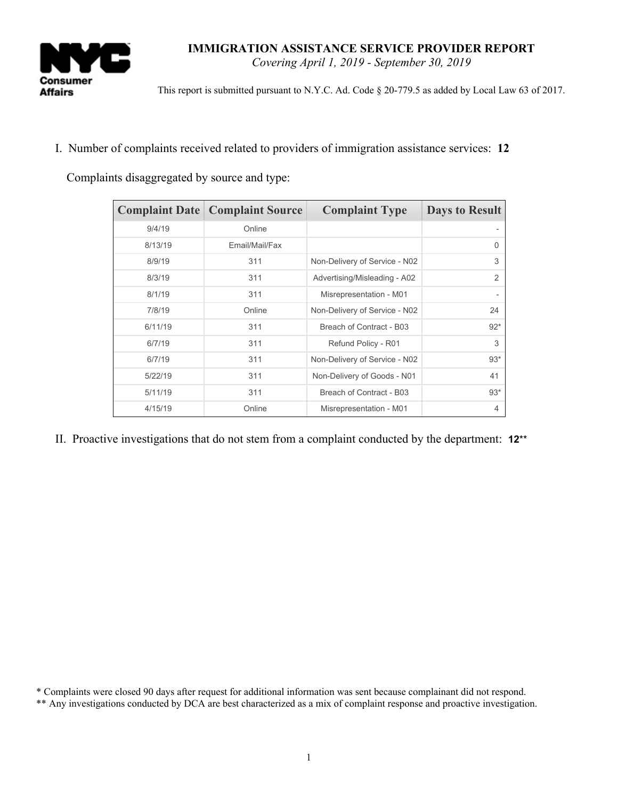

*Covering April 1, 2019 - September 30, 2019*

This report is submitted pursuant to N.Y.C. Ad. Code § 20-779.5 as added by Local Law 63 of 2017.

I. Number of complaints received related to providers of immigration assistance services: **12**

Complaints disaggregated by source and type:

|         | <b>Complaint Date   Complaint Source</b> | <b>Complaint Type</b>         | <b>Days to Result</b> |
|---------|------------------------------------------|-------------------------------|-----------------------|
| 9/4/19  | Online                                   |                               |                       |
| 8/13/19 | Email/Mail/Fax                           |                               | $\Omega$              |
| 8/9/19  | 311                                      | Non-Delivery of Service - N02 | 3                     |
| 8/3/19  | 311                                      | Advertising/Misleading - A02  | $\overline{2}$        |
| 8/1/19  | 311                                      | Misrepresentation - M01       |                       |
| 7/8/19  | Online                                   | Non-Delivery of Service - N02 | 24                    |
| 6/11/19 | 311                                      | Breach of Contract - B03      | $92*$                 |
| 6/7/19  | 311                                      | Refund Policy - R01           | 3                     |
| 6/7/19  | 311                                      | Non-Delivery of Service - N02 | $93*$                 |
| 5/22/19 | 311                                      | Non-Delivery of Goods - N01   | 41                    |
| 5/11/19 | 311                                      | Breach of Contract - B03      | $93*$                 |
| 4/15/19 | Online                                   | Misrepresentation - M01       | $\overline{4}$        |

II. Proactive investigations that do not stem from a complaint conducted by the department: **12**\*\*

<sup>\*</sup> Complaints were closed 90 days after request for additional information was sent because complainant did not respond.

<sup>\*\*</sup> Any investigations conducted by DCA are best characterized as a mix of complaint response and proactive investigation.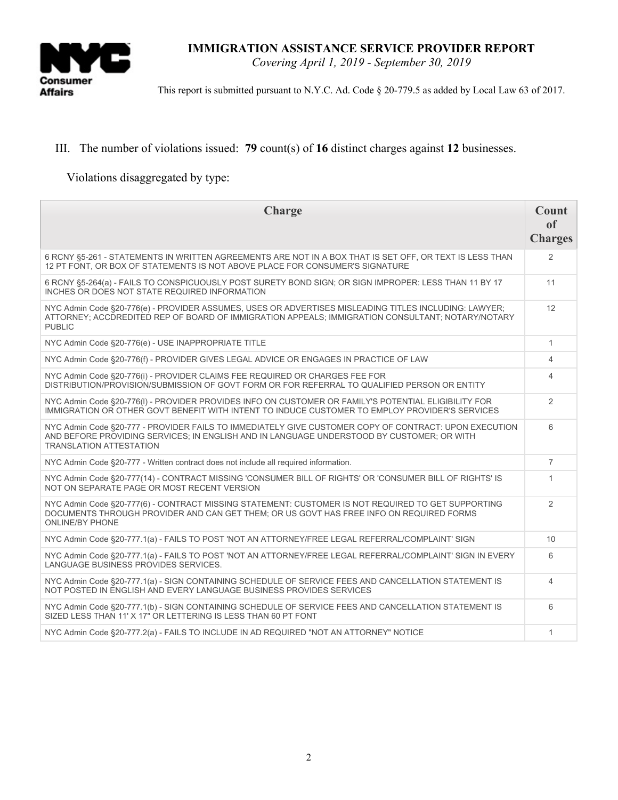

*Covering April 1, 2019 - September 30, 2019*

This report is submitted pursuant to N.Y.C. Ad. Code § 20-779.5 as added by Local Law 63 of 2017.

## III. The number of violations issued: **79** count(s) of **16** distinct charges against **12** businesses.

Violations disaggregated by type:

| <b>Charge</b>                                                                                                                                                                                                                        | Count<br>of<br><b>Charges</b> |
|--------------------------------------------------------------------------------------------------------------------------------------------------------------------------------------------------------------------------------------|-------------------------------|
| 6 RCNY §5-261 - STATEMENTS IN WRITTEN AGREEMENTS ARE NOT IN A BOX THAT IS SET OFF, OR TEXT IS LESS THAN<br>12 PT FONT, OR BOX OF STATEMENTS IS NOT ABOVE PLACE FOR CONSUMER'S SIGNATURE                                              | $\overline{2}$                |
| 6 RCNY §5-264(a) - FAILS TO CONSPICUOUSLY POST SURETY BOND SIGN; OR SIGN IMPROPER: LESS THAN 11 BY 17<br>INCHES OR DOES NOT STATE REQUIRED INFORMATION                                                                               | 11                            |
| NYC Admin Code §20-776(e) - PROVIDER ASSUMES, USES OR ADVERTISES MISLEADING TITLES INCLUDING: LAWYER;<br>ATTORNEY; ACCOREDITED REP OF BOARD OF IMMIGRATION APPEALS; IMMIGRATION CONSULTANT; NOTARY/NOTARY<br><b>PUBLIC</b>           | 12                            |
| NYC Admin Code §20-776(e) - USE INAPPROPRIATE TITLE                                                                                                                                                                                  | $\mathbf{1}$                  |
| NYC Admin Code §20-776(f) - PROVIDER GIVES LEGAL ADVICE OR ENGAGES IN PRACTICE OF LAW                                                                                                                                                | $\overline{4}$                |
| NYC Admin Code §20-776(i) - PROVIDER CLAIMS FEE REQUIRED OR CHARGES FEE FOR<br>DISTRIBUTION/PROVISION/SUBMISSION OF GOVT FORM OR FOR REFERRAL TO QUALIFIED PERSON OR ENTITY                                                          | 4                             |
| NYC Admin Code §20-776(I) - PROVIDER PROVIDES INFO ON CUSTOMER OR FAMILY'S POTENTIAL ELIGIBILITY FOR<br>IMMIGRATION OR OTHER GOVT BENEFIT WITH INTENT TO INDUCE CUSTOMER TO EMPLOY PROVIDER'S SERVICES                               | $\overline{2}$                |
| NYC Admin Code §20-777 - PROVIDER FAILS TO IMMEDIATELY GIVE CUSTOMER COPY OF CONTRACT: UPON EXECUTION<br>AND BEFORE PROVIDING SERVICES; IN ENGLISH AND IN LANGUAGE UNDERSTOOD BY CUSTOMER; OR WITH<br><b>TRANSLATION ATTESTATION</b> | 6                             |
| NYC Admin Code §20-777 - Written contract does not include all required information.                                                                                                                                                 | $\overline{7}$                |
| NYC Admin Code §20-777(14) - CONTRACT MISSING 'CONSUMER BILL OF RIGHTS' OR 'CONSUMER BILL OF RIGHTS' IS<br>NOT ON SEPARATE PAGE OR MOST RECENT VERSION                                                                               | $\mathbf{1}$                  |
| NYC Admin Code §20-777(6) - CONTRACT MISSING STATEMENT: CUSTOMER IS NOT REQUIRED TO GET SUPPORTING<br>DOCUMENTS THROUGH PROVIDER AND CAN GET THEM; OR US GOVT HAS FREE INFO ON REQUIRED FORMS<br><b>ONLINE/BY PHONE</b>              | 2                             |
| NYC Admin Code §20-777.1(a) - FAILS TO POST 'NOT AN ATTORNEY/FREE LEGAL REFERRAL/COMPLAINT' SIGN                                                                                                                                     | 10                            |
| NYC Admin Code §20-777.1(a) - FAILS TO POST 'NOT AN ATTORNEY/FREE LEGAL REFERRAL/COMPLAINT' SIGN IN EVERY<br>LANGUAGE BUSINESS PROVIDES SERVICES.                                                                                    | 6                             |
| NYC Admin Code §20-777.1(a) - SIGN CONTAINING SCHEDULE OF SERVICE FEES AND CANCELLATION STATEMENT IS<br>NOT POSTED IN ENGLISH AND EVERY LANGUAGE BUSINESS PROVIDES SERVICES                                                          | $\overline{4}$                |
| NYC Admin Code §20-777.1(b) - SIGN CONTAINING SCHEDULE OF SERVICE FEES AND CANCELLATION STATEMENT IS<br>SIZED LESS THAN 11' X 17" OR LETTERING IS LESS THAN 60 PT FONT                                                               | 6                             |
| NYC Admin Code §20-777.2(a) - FAILS TO INCLUDE IN AD REQUIRED "NOT AN ATTORNEY" NOTICE                                                                                                                                               | $\mathbf{1}$                  |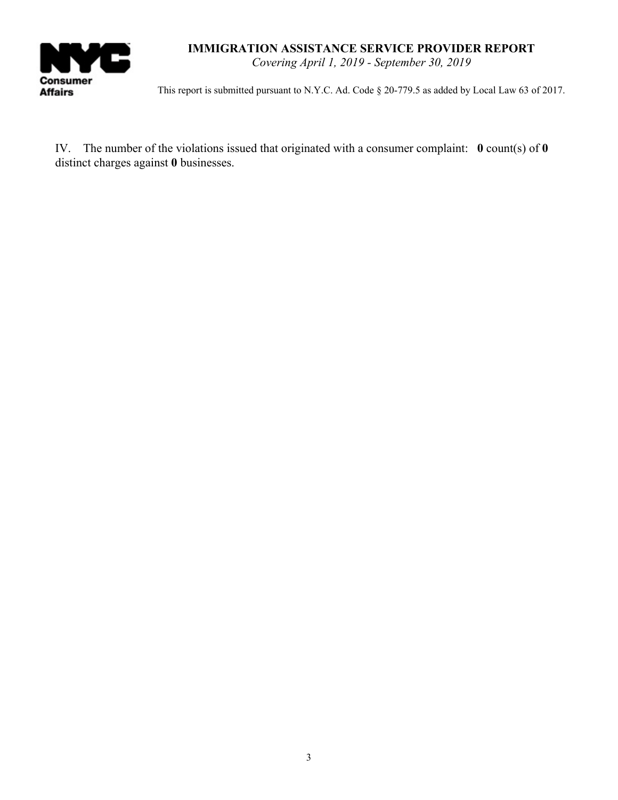

*Covering April 1, 2019 - September 30, 2019*

This report is submitted pursuant to N.Y.C. Ad. Code § 20-779.5 as added by Local Law 63 of 2017.

IV. The number of the violations issued that originated with a consumer complaint: **0** count(s) of **0** distinct charges against **0** businesses.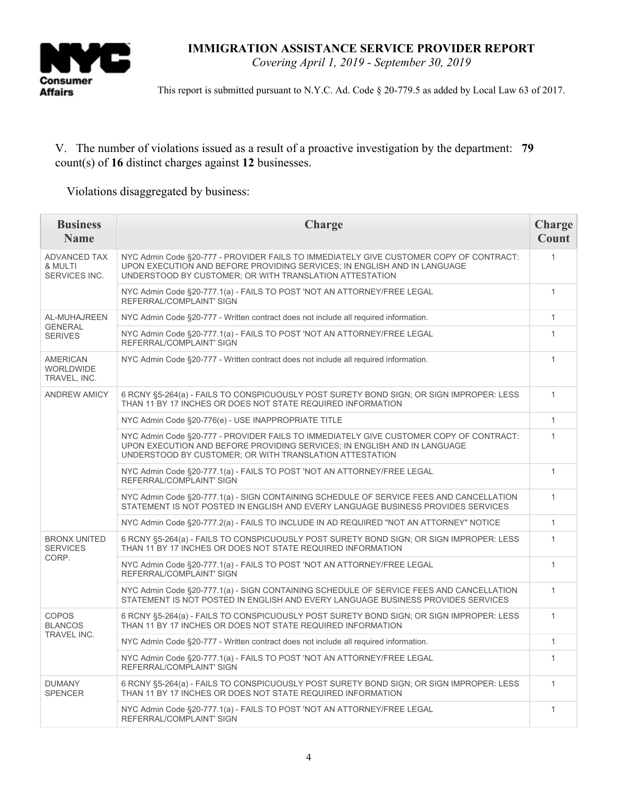

*Covering April 1, 2019 - September 30, 2019*

This report is submitted pursuant to N.Y.C. Ad. Code § 20-779.5 as added by Local Law 63 of 2017.

## V. The number of violations issued as a result of a proactive investigation by the department: **79** count(s) of **16** distinct charges against **12** businesses.

Violations disaggregated by business:

| <b>Business</b><br><b>Name</b>                   | Charge                                                                                                                                                                                                                        | Charge<br>Count |
|--------------------------------------------------|-------------------------------------------------------------------------------------------------------------------------------------------------------------------------------------------------------------------------------|-----------------|
| <b>ADVANCED TAX</b><br>& MULTI<br>SERVICES INC.  | NYC Admin Code §20-777 - PROVIDER FAILS TO IMMEDIATELY GIVE CUSTOMER COPY OF CONTRACT:<br>UPON EXECUTION AND BEFORE PROVIDING SERVICES: IN ENGLISH AND IN LANGUAGE<br>UNDERSTOOD BY CUSTOMER; OR WITH TRANSLATION ATTESTATION | $\mathbf{1}$    |
|                                                  | NYC Admin Code §20-777.1(a) - FAILS TO POST 'NOT AN ATTORNEY/FREE LEGAL<br>REFERRAL/COMPLAINT' SIGN                                                                                                                           | $\mathbf{1}$    |
| AL-MUHAJREEN<br><b>GENERAL</b><br><b>SERIVES</b> | NYC Admin Code §20-777 - Written contract does not include all required information.                                                                                                                                          | $\mathbf{1}$    |
|                                                  | NYC Admin Code §20-777.1(a) - FAILS TO POST 'NOT AN ATTORNEY/FREE LEGAL<br>REFERRAL/COMPLAINT' SIGN                                                                                                                           | $\mathbf{1}$    |
| <b>AMERICAN</b><br>WORLDWIDE<br>TRAVEL, INC.     | NYC Admin Code §20-777 - Written contract does not include all required information.                                                                                                                                          | 1               |
| <b>ANDREW AMICY</b>                              | 6 RCNY §5-264(a) - FAILS TO CONSPICUOUSLY POST SURETY BOND SIGN; OR SIGN IMPROPER: LESS<br>THAN 11 BY 17 INCHES OR DOES NOT STATE REQUIRED INFORMATION                                                                        | $\mathbf{1}$    |
|                                                  | NYC Admin Code §20-776(e) - USE INAPPROPRIATE TITLE                                                                                                                                                                           | 1               |
|                                                  | NYC Admin Code §20-777 - PROVIDER FAILS TO IMMEDIATELY GIVE CUSTOMER COPY OF CONTRACT:<br>UPON EXECUTION AND BEFORE PROVIDING SERVICES: IN ENGLISH AND IN LANGUAGE<br>UNDERSTOOD BY CUSTOMER; OR WITH TRANSLATION ATTESTATION | $\mathbf{1}$    |
|                                                  | NYC Admin Code §20-777.1(a) - FAILS TO POST 'NOT AN ATTORNEY/FREE LEGAL<br>REFERRAL/COMPLAINT' SIGN                                                                                                                           | $\mathbf{1}$    |
|                                                  | NYC Admin Code §20-777.1(a) - SIGN CONTAINING SCHEDULE OF SERVICE FEES AND CANCELLATION<br>STATEMENT IS NOT POSTED IN ENGLISH AND EVERY LANGUAGE BUSINESS PROVIDES SERVICES                                                   | $\mathbf{1}$    |
|                                                  | NYC Admin Code §20-777.2(a) - FAILS TO INCLUDE IN AD REQUIRED "NOT AN ATTORNEY" NOTICE                                                                                                                                        | $\mathbf{1}$    |
| <b>BRONX UNITED</b><br><b>SERVICES</b><br>CORP.  | 6 RCNY §5-264(a) - FAILS TO CONSPICUOUSLY POST SURETY BOND SIGN; OR SIGN IMPROPER: LESS<br>THAN 11 BY 17 INCHES OR DOES NOT STATE REQUIRED INFORMATION                                                                        | $\mathbf{1}$    |
|                                                  | NYC Admin Code §20-777.1(a) - FAILS TO POST 'NOT AN ATTORNEY/FREE LEGAL<br>REFERRAL/COMPLAINT' SIGN                                                                                                                           | $\mathbf{1}$    |
|                                                  | NYC Admin Code §20-777.1(a) - SIGN CONTAINING SCHEDULE OF SERVICE FEES AND CANCELLATION<br>STATEMENT IS NOT POSTED IN ENGLISH AND EVERY LANGUAGE BUSINESS PROVIDES SERVICES                                                   | $\mathbf{1}$    |
| <b>COPOS</b><br><b>BLANCOS</b><br>TRAVEL INC.    | 6 RCNY §5-264(a) - FAILS TO CONSPICUOUSLY POST SURETY BOND SIGN; OR SIGN IMPROPER: LESS<br>THAN 11 BY 17 INCHES OR DOES NOT STATE REQUIRED INFORMATION                                                                        | 1               |
|                                                  | NYC Admin Code §20-777 - Written contract does not include all required information.                                                                                                                                          | $\mathbf{1}$    |
|                                                  | NYC Admin Code §20-777.1(a) - FAILS TO POST 'NOT AN ATTORNEY/FREE LEGAL<br>REFERRAL/COMPLAINT' SIGN                                                                                                                           | $\mathbf{1}$    |
| <b>DUMANY</b><br><b>SPENCER</b>                  | 6 RCNY §5-264(a) - FAILS TO CONSPICUOUSLY POST SURETY BOND SIGN; OR SIGN IMPROPER: LESS<br>THAN 11 BY 17 INCHES OR DOES NOT STATE REQUIRED INFORMATION                                                                        | $\mathbf{1}$    |
|                                                  | NYC Admin Code §20-777.1(a) - FAILS TO POST 'NOT AN ATTORNEY/FREE LEGAL<br>REFERRAL/COMPLAINT' SIGN                                                                                                                           | $\mathbf{1}$    |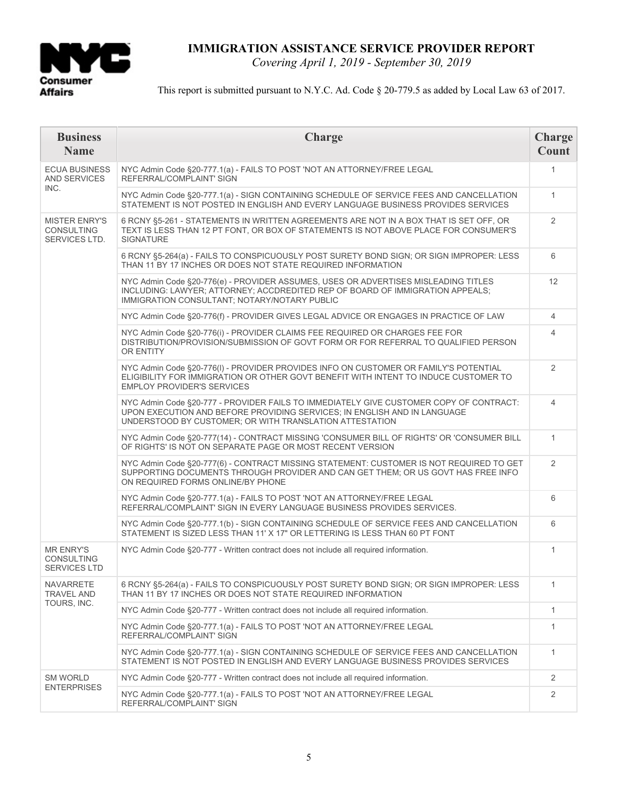

*Covering April 1, 2019 - September 30, 2019*

### This report is submitted pursuant to N.Y.C. Ad. Code § 20-779.5 as added by Local Law 63 of 2017.

| <b>Business</b><br><b>Name</b>                             | Charge                                                                                                                                                                                                                        | <b>Charge</b><br>Count |
|------------------------------------------------------------|-------------------------------------------------------------------------------------------------------------------------------------------------------------------------------------------------------------------------------|------------------------|
| <b>ECUA BUSINESS</b><br><b>AND SERVICES</b><br>INC.        | NYC Admin Code §20-777.1(a) - FAILS TO POST 'NOT AN ATTORNEY/FREE LEGAL<br>REFERRAL/COMPLAINT' SIGN                                                                                                                           | $\mathbf{1}$           |
|                                                            | NYC Admin Code §20-777.1(a) - SIGN CONTAINING SCHEDULE OF SERVICE FEES AND CANCELLATION<br>STATEMENT IS NOT POSTED IN ENGLISH AND EVERY LANGUAGE BUSINESS PROVIDES SERVICES                                                   | $\mathbf{1}$           |
| <b>MISTER ENRY'S</b><br><b>CONSULTING</b><br>SERVICES LTD. | 6 RCNY §5-261 - STATEMENTS IN WRITTEN AGREEMENTS ARE NOT IN A BOX THAT IS SET OFF, OR<br>TEXT IS LESS THAN 12 PT FONT, OR BOX OF STATEMENTS IS NOT ABOVE PLACE FOR CONSUMER'S<br>SIGNATURE                                    | $\overline{2}$         |
|                                                            | 6 RCNY §5-264(a) - FAILS TO CONSPICUOUSLY POST SURETY BOND SIGN; OR SIGN IMPROPER: LESS<br>THAN 11 BY 17 INCHES OR DOES NOT STATE REQUIRED INFORMATION                                                                        | 6                      |
|                                                            | NYC Admin Code §20-776(e) - PROVIDER ASSUMES, USES OR ADVERTISES MISLEADING TITLES<br>INCLUDING: LAWYER; ATTORNEY; ACCDREDITED REP OF BOARD OF IMMIGRATION APPEALS;<br>IMMIGRATION CONSULTANT; NOTARY/NOTARY PUBLIC           | 12                     |
|                                                            | NYC Admin Code §20-776(f) - PROVIDER GIVES LEGAL ADVICE OR ENGAGES IN PRACTICE OF LAW                                                                                                                                         | 4                      |
|                                                            | NYC Admin Code §20-776(i) - PROVIDER CLAIMS FEE REQUIRED OR CHARGES FEE FOR<br>DISTRIBUTION/PROVISION/SUBMISSION OF GOVT FORM OR FOR REFERRAL TO QUALIFIED PERSON<br>OR ENTITY                                                | 4                      |
|                                                            | NYC Admin Code §20-776(I) - PROVIDER PROVIDES INFO ON CUSTOMER OR FAMILY'S POTENTIAL<br>ELIGIBILITY FOR IMMIGRATION OR OTHER GOVT BENEFIT WITH INTENT TO INDUCE CUSTOMER TO<br><b>EMPLOY PROVIDER'S SERVICES</b>              | $\overline{2}$         |
|                                                            | NYC Admin Code §20-777 - PROVIDER FAILS TO IMMEDIATELY GIVE CUSTOMER COPY OF CONTRACT:<br>UPON EXECUTION AND BEFORE PROVIDING SERVICES; IN ENGLISH AND IN LANGUAGE<br>UNDERSTOOD BY CUSTOMER; OR WITH TRANSLATION ATTESTATION | 4                      |
|                                                            | NYC Admin Code §20-777(14) - CONTRACT MISSING 'CONSUMER BILL OF RIGHTS' OR 'CONSUMER BILL<br>OF RIGHTS' IS NOT ON SEPARATE PAGE OR MOST RECENT VERSION                                                                        | $\mathbf{1}$           |
|                                                            | NYC Admin Code §20-777(6) - CONTRACT MISSING STATEMENT: CUSTOMER IS NOT REQUIRED TO GET<br>SUPPORTING DOCUMENTS THROUGH PROVIDER AND CAN GET THEM; OR US GOVT HAS FREE INFO<br>ON REQUIRED FORMS ONLINE/BY PHONE              | $\overline{2}$         |
|                                                            | NYC Admin Code §20-777.1(a) - FAILS TO POST 'NOT AN ATTORNEY/FREE LEGAL<br>REFERRAL/COMPLAINT' SIGN IN EVERY LANGUAGE BUSINESS PROVIDES SERVICES.                                                                             | 6                      |
|                                                            | NYC Admin Code §20-777.1(b) - SIGN CONTAINING SCHEDULE OF SERVICE FEES AND CANCELLATION<br>STATEMENT IS SIZED LESS THAN 11' X 17" OR LETTERING IS LESS THAN 60 PT FONT                                                        | 6                      |
| <b>MR ENRY'S</b><br><b>CONSULTING</b><br>SERVICES LTD      | NYC Admin Code §20-777 - Written contract does not include all required information.                                                                                                                                          | $\mathbf{1}$           |
| <b>NAVARRETE</b><br><b>TRAVEL AND</b>                      | 6 RCNY §5-264(a) - FAILS TO CONSPICUOUSLY POST SURETY BOND SIGN; OR SIGN IMPROPER: LESS<br>THAN 11 BY 17 INCHES OR DOES NOT STATE REQUIRED INFORMATION                                                                        | $\mathbf{1}$           |
| TOURS, INC.                                                | NYC Admin Code §20-777 - Written contract does not include all required information.                                                                                                                                          | $\mathbf{1}$           |
|                                                            | NYC Admin Code §20-777.1(a) - FAILS TO POST 'NOT AN ATTORNEY/FREE LEGAL<br>REFERRAL/COMPLAINT' SIGN                                                                                                                           | 1                      |
|                                                            | NYC Admin Code §20-777.1(a) - SIGN CONTAINING SCHEDULE OF SERVICE FEES AND CANCELLATION<br>STATEMENT IS NOT POSTED IN ENGLISH AND EVERY LANGUAGE BUSINESS PROVIDES SERVICES                                                   | $\mathbf{1}$           |
| <b>SM WORLD</b>                                            | NYC Admin Code §20-777 - Written contract does not include all required information.                                                                                                                                          | 2                      |
| <b>ENTERPRISES</b>                                         | NYC Admin Code §20-777.1(a) - FAILS TO POST 'NOT AN ATTORNEY/FREE LEGAL<br>REFERRAL/COMPLAINT' SIGN                                                                                                                           | 2                      |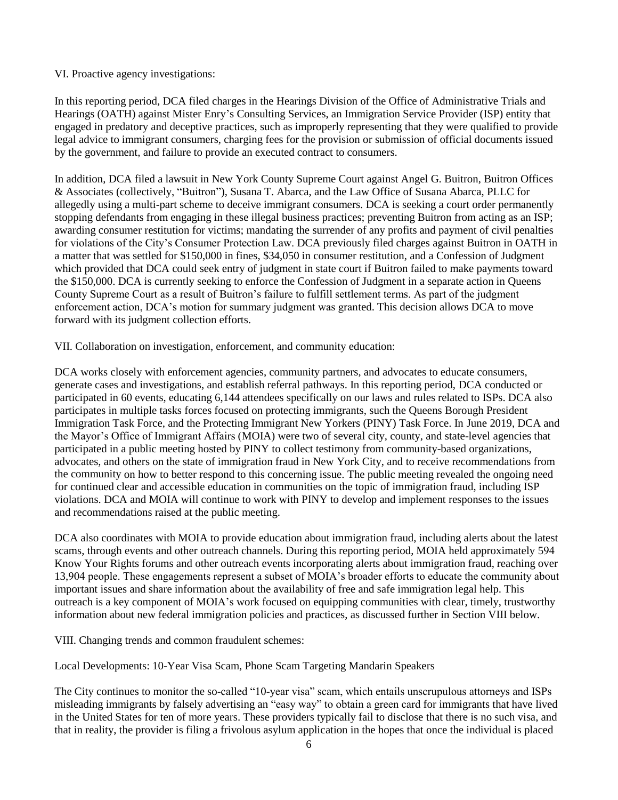#### VI. Proactive agency investigations:

In this reporting period, DCA filed charges in the Hearings Division of the Office of Administrative Trials and Hearings (OATH) against Mister Enry's Consulting Services, an Immigration Service Provider (ISP) entity that engaged in predatory and deceptive practices, such as improperly representing that they were qualified to provide legal advice to immigrant consumers, charging fees for the provision or submission of official documents issued by the government, and failure to provide an executed contract to consumers.

In addition, DCA filed a lawsuit in New York County Supreme Court against Angel G. Buitron, Buitron Offices & Associates (collectively, "Buitron"), Susana T. Abarca, and the Law Office of Susana Abarca, PLLC for allegedly using a multi-part scheme to deceive immigrant consumers. DCA is seeking a court order permanently stopping defendants from engaging in these illegal business practices; preventing Buitron from acting as an ISP; awarding consumer restitution for victims; mandating the surrender of any profits and payment of civil penalties for violations of the City's Consumer Protection Law. DCA previously filed charges against Buitron in OATH in a matter that was settled for \$150,000 in fines, \$34,050 in consumer restitution, and a Confession of Judgment which provided that DCA could seek entry of judgment in state court if Buitron failed to make payments toward the \$150,000. DCA is currently seeking to enforce the Confession of Judgment in a separate action in Queens County Supreme Court as a result of Buitron's failure to fulfill settlement terms. As part of the judgment enforcement action, DCA's motion for summary judgment was granted. This decision allows DCA to move forward with its judgment collection efforts.

VII. Collaboration on investigation, enforcement, and community education:

DCA works closely with enforcement agencies, community partners, and advocates to educate consumers, generate cases and investigations, and establish referral pathways. In this reporting period, DCA conducted or participated in 60 events, educating 6,144 attendees specifically on our laws and rules related to ISPs. DCA also participates in multiple tasks forces focused on protecting immigrants, such the Queens Borough President Immigration Task Force, and the Protecting Immigrant New Yorkers (PINY) Task Force. In June 2019, DCA and the Mayor's Office of Immigrant Affairs (MOIA) were two of several city, county, and state-level agencies that participated in a public meeting hosted by PINY to collect testimony from community-based organizations, advocates, and others on the state of immigration fraud in New York City, and to receive recommendations from the community on how to better respond to this concerning issue. The public meeting revealed the ongoing need for continued clear and accessible education in communities on the topic of immigration fraud, including ISP violations. DCA and MOIA will continue to work with PINY to develop and implement responses to the issues and recommendations raised at the public meeting.

DCA also coordinates with MOIA to provide education about immigration fraud, including alerts about the latest scams, through events and other outreach channels. During this reporting period, MOIA held approximately 594 Know Your Rights forums and other outreach events incorporating alerts about immigration fraud, reaching over 13,904 people. These engagements represent a subset of MOIA's broader efforts to educate the community about important issues and share information about the availability of free and safe immigration legal help. This outreach is a key component of MOIA's work focused on equipping communities with clear, timely, trustworthy information about new federal immigration policies and practices, as discussed further in Section VIII below.

VIII. Changing trends and common fraudulent schemes:

Local Developments: 10-Year Visa Scam, Phone Scam Targeting Mandarin Speakers

The City continues to monitor the so-called "10-year visa" scam, which entails unscrupulous attorneys and ISPs misleading immigrants by falsely advertising an "easy way" to obtain a green card for immigrants that have lived in the United States for ten of more years. These providers typically fail to disclose that there is no such visa, and that in reality, the provider is filing a frivolous asylum application in the hopes that once the individual is placed